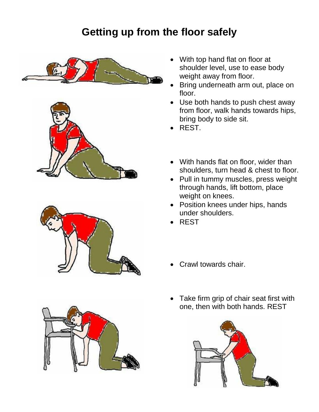## **Getting up from the floor safely**









- With top hand flat on floor at shoulder level, use to ease body weight away from floor.
- Bring underneath arm out, place on floor.
- Use both hands to push chest away from floor, walk hands towards hips, bring body to side sit.
- REST.
- With hands flat on floor, wider than shoulders, turn head & chest to floor.
- Pull in tummy muscles, press weight through hands, lift bottom, place weight on knees.
- Position knees under hips, hands under shoulders.
- REST
- Crawl towards chair.
- Take firm grip of chair seat first with one, then with both hands. REST